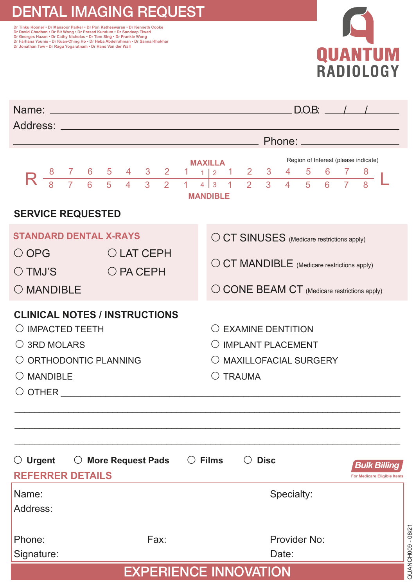## DENTAL IMAGING REQUEST

ור וואנו אססופר - טר Mansoor Parker - טר Pon Ketheswaran - טר Kenneth Cooke<br>Dr David Chadban - Dr Bit Wong - Dr Prasad Kundum - Dr Sandeep Tiwari<br>Dr Georges Hazan - Dr Cathy Nicholas - Dr Tom Sing - Dr Frankie Wong<br>Dr Far **Dr Jonathan Tow • Dr Ragu Yogaratnam • Dr Hans Van der Wall**



| Name: www.astronomia.com/www.astronomia.com/www.astronomia.com<br>Address: Andreas Address Address Andreas Address Address Address Address Address Address Address Address Address A |                                                          |                                                         |                     |                                                                                            |                              |                     |                     |        |        | D.O.B: |  |                                             |
|--------------------------------------------------------------------------------------------------------------------------------------------------------------------------------------|----------------------------------------------------------|---------------------------------------------------------|---------------------|--------------------------------------------------------------------------------------------|------------------------------|---------------------|---------------------|--------|--------|--------|--|---------------------------------------------|
|                                                                                                                                                                                      | <b>Example 2</b> Phone:                                  |                                                         |                     |                                                                                            |                              |                     |                     |        |        |        |  |                                             |
|                                                                                                                                                                                      | Region of Interest (please indicate)<br><b>MAXILLA</b>   |                                                         |                     |                                                                                            |                              |                     |                     |        |        |        |  |                                             |
| $R \frac{8}{8} \frac{7}{7} \frac{6}{6} \frac{5}{5}$                                                                                                                                  | $\overline{4}$                                           | $4 \quad 3 \quad 2$<br>$\overline{3}$<br>$\overline{2}$ | 1<br>$\overline{1}$ | $\overline{1}$<br>$\vert$ 2<br>1.<br>$\overline{4}$<br>$\overline{3}$<br>$\overline{1}$    | $2^{\circ}$<br>$\mathcal{P}$ | 3<br>$\overline{3}$ | 4<br>$\overline{4}$ | 5<br>5 | 6<br>6 |        |  |                                             |
|                                                                                                                                                                                      |                                                          |                                                         |                     | <b>MANDIBLE</b>                                                                            |                              |                     |                     |        |        |        |  |                                             |
| <b>SERVICE REQUESTED</b>                                                                                                                                                             |                                                          |                                                         |                     |                                                                                            |                              |                     |                     |        |        |        |  |                                             |
| <b>STANDARD DENTAL X-RAYS</b><br>O CT SINUSES (Medicare restrictions apply)                                                                                                          |                                                          |                                                         |                     |                                                                                            |                              |                     |                     |        |        |        |  |                                             |
| $\bigcirc$ OPG                                                                                                                                                                       | O LAT CEPH                                               |                                                         |                     |                                                                                            |                              |                     |                     |        |        |        |  |                                             |
| $\bigcirc$ TMJ'S                                                                                                                                                                     | O CT MANDIBLE (Medicare restrictions apply)<br>O PA CEPH |                                                         |                     |                                                                                            |                              |                     |                     |        |        |        |  |                                             |
| O MANDIBLE                                                                                                                                                                           | $\bigcirc$ CONE BEAM CT (Medicare restrictions apply)    |                                                         |                     |                                                                                            |                              |                     |                     |        |        |        |  |                                             |
| <b>CLINICAL NOTES / INSTRUCTIONS</b><br>$\bigcirc$ IMPACTED TEETH<br>$\bigcirc$ 3RD MOLARS<br>O ORTHODONTIC PLANNING<br>$\bigcirc$ mandible                                          |                                                          |                                                         |                     | O EXAMINE DENTITION<br>O IMPLANT PLACEMENT<br>O MAXILLOFACIAL SURGERY<br>$\bigcirc$ TRAUMA |                              |                     |                     |        |        |        |  |                                             |
| $\bigcirc$ Urgent<br><b>REFERRER DETAILS</b>                                                                                                                                         | ○ More Request Pads ○ Films                              |                                                         |                     |                                                                                            |                              | $\bigcirc$ Disc     |                     |        |        |        |  | Bulk Billinq<br>For Medicare Eligible Items |
| Name:<br>Address:                                                                                                                                                                    |                                                          |                                                         |                     |                                                                                            |                              |                     | Specialty:          |        |        |        |  |                                             |
| Phone:                                                                                                                                                                               |                                                          | Fax:                                                    |                     |                                                                                            |                              |                     | Provider No:        |        |        |        |  |                                             |
| Signature:                                                                                                                                                                           |                                                          |                                                         |                     |                                                                                            |                              |                     | Date:               |        |        |        |  |                                             |
| <b>EXPERIENCE INNOVATION</b>                                                                                                                                                         |                                                          |                                                         |                     |                                                                                            |                              |                     |                     |        |        |        |  |                                             |